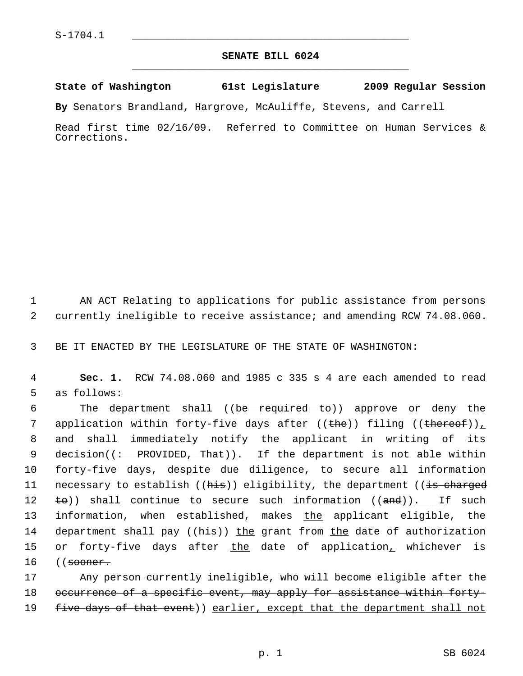## **SENATE BILL 6024** \_\_\_\_\_\_\_\_\_\_\_\_\_\_\_\_\_\_\_\_\_\_\_\_\_\_\_\_\_\_\_\_\_\_\_\_\_\_\_\_\_\_\_\_\_

## **State of Washington 61st Legislature 2009 Regular Session**

**By** Senators Brandland, Hargrove, McAuliffe, Stevens, and Carrell

Read first time 02/16/09. Referred to Committee on Human Services & Corrections.

 1 AN ACT Relating to applications for public assistance from persons 2 currently ineligible to receive assistance; and amending RCW 74.08.060.

3 BE IT ENACTED BY THE LEGISLATURE OF THE STATE OF WASHINGTON:

 4 **Sec. 1.** RCW 74.08.060 and 1985 c 335 s 4 are each amended to read 5 as follows:

6 The department shall ((be required to)) approve or deny the 7 application within forty-five days after ((the)) filing ((thereof)) 8 and shall immediately notify the applicant in writing of its 9 decision( $\left(\div\right)$  PROVIDED, That)). If the department is not able within 10 forty-five days, despite due diligence, to secure all information 11 necessary to establish ((his)) eligibility, the department ((is charged 12  $\pm \Theta$ ) shall continue to secure such information ((and)). If such 13 information, when established, makes the applicant eligible, the 14 department shall pay ((his)) the grant from the date of authorization 15 or forty-five days after the date of application, whichever is 16 ((<del>sooner.</del>

17 Any person currently ineligible, who will become eligible after the 18 occurrence of a specific event, may apply for assistance within forty-19 five days of that event)) earlier, except that the department shall not